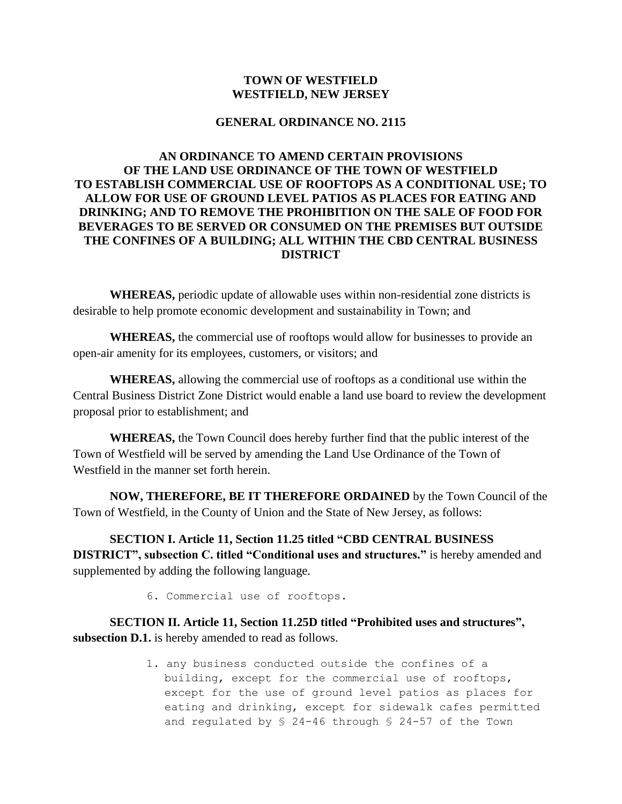## **TOWN OF WESTFIELD WESTFIELD, NEW JERSEY**

## **GENERAL ORDINANCE NO. 2115**

## **AN ORDINANCE TO AMEND CERTAIN PROVISIONS OF THE LAND USE ORDINANCE OF THE TOWN OF WESTFIELD TO ESTABLISH COMMERCIAL USE OF ROOFTOPS AS A CONDITIONAL USE; TO ALLOW FOR USE OF GROUND LEVEL PATIOS AS PLACES FOR EATING AND DRINKING; AND TO REMOVE THE PROHIBITION ON THE SALE OF FOOD FOR BEVERAGES TO BE SERVED OR CONSUMED ON THE PREMISES BUT OUTSIDE THE CONFINES OF A BUILDING; ALL WITHIN THE CBD CENTRAL BUSINESS DISTRICT**

**WHEREAS,** periodic update of allowable uses within non-residential zone districts is desirable to help promote economic development and sustainability in Town; and

**WHEREAS,** the commercial use of rooftops would allow for businesses to provide an open-air amenity for its employees, customers, or visitors; and

**WHEREAS,** allowing the commercial use of rooftops as a conditional use within the Central Business District Zone District would enable a land use board to review the development proposal prior to establishment; and

**WHEREAS,** the Town Council does hereby further find that the public interest of the Town of Westfield will be served by amending the Land Use Ordinance of the Town of Westfield in the manner set forth herein.

**NOW, THEREFORE, BE IT THEREFORE ORDAINED** by the Town Council of the Town of Westfield, in the County of Union and the State of New Jersey, as follows:

**SECTION I. Article 11, Section 11.25 titled "CBD CENTRAL BUSINESS DISTRICT", subsection C. titled "Conditional uses and structures."** is hereby amended and supplemented by adding the following language.

6. Commercial use of rooftops.

**SECTION II. Article 11, Section 11.25D titled "Prohibited uses and structures", subsection D.1.** is hereby amended to read as follows.

> 1. any business conducted outside the confines of a building, except for the commercial use of rooftops, except for the use of ground level patios as places for eating and drinking, except for sidewalk cafes permitted and regulated by § 24-46 through § 24-57 of the Town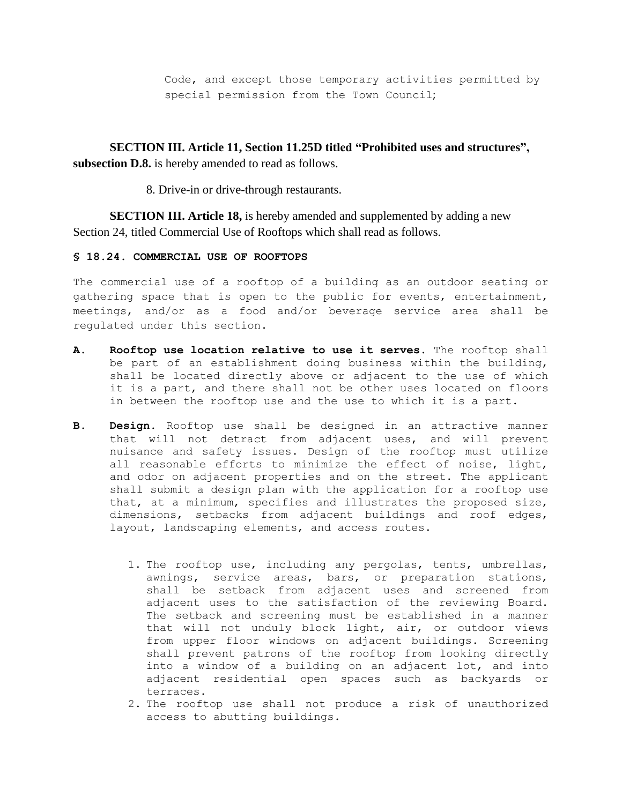Code, and except those temporary activities permitted by special permission from the Town Council;

**SECTION III. Article 11, Section 11.25D titled "Prohibited uses and structures", subsection D.8.** is hereby amended to read as follows.

8. Drive-in or drive-through restaurants.

**SECTION III. Article 18,** is hereby amended and supplemented by adding a new Section 24, titled Commercial Use of Rooftops which shall read as follows.

## **§ 18.24. COMMERCIAL USE OF ROOFTOPS**

The commercial use of a rooftop of a building as an outdoor seating or gathering space that is open to the public for events, entertainment, meetings, and/or as a food and/or beverage service area shall be regulated under this section.

- **A. Rooftop use location relative to use it serves.** The rooftop shall be part of an establishment doing business within the building, shall be located directly above or adjacent to the use of which it is a part, and there shall not be other uses located on floors in between the rooftop use and the use to which it is a part.
- **B. Design.** Rooftop use shall be designed in an attractive manner that will not detract from adjacent uses, and will prevent nuisance and safety issues. Design of the rooftop must utilize all reasonable efforts to minimize the effect of noise, light, and odor on adjacent properties and on the street. The applicant shall submit a design plan with the application for a rooftop use that, at a minimum, specifies and illustrates the proposed size, dimensions, setbacks from adjacent buildings and roof edges, layout, landscaping elements, and access routes.
	- 1. The rooftop use, including any pergolas, tents, umbrellas, awnings, service areas, bars, or preparation stations, shall be setback from adjacent uses and screened from adjacent uses to the satisfaction of the reviewing Board. The setback and screening must be established in a manner that will not unduly block light, air, or outdoor views from upper floor windows on adjacent buildings. Screening shall prevent patrons of the rooftop from looking directly into a window of a building on an adjacent lot, and into adjacent residential open spaces such as backyards or terraces.
	- 2. The rooftop use shall not produce a risk of unauthorized access to abutting buildings.